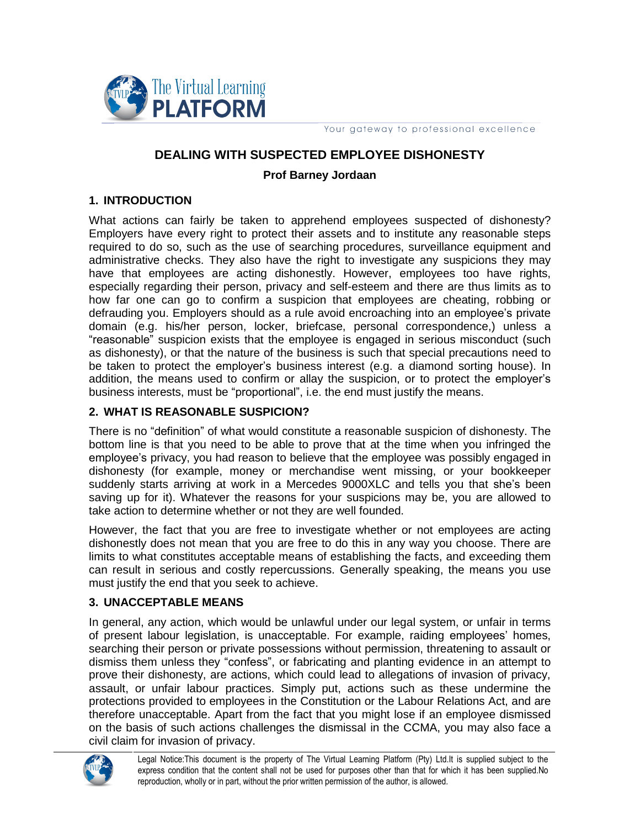

Your gateway to professional excellence

## **DEALING WITH SUSPECTED EMPLOYEE DISHONESTY**

#### **Prof Barney Jordaan**

#### **1. INTRODUCTION**

What actions can fairly be taken to apprehend employees suspected of dishonesty? Employers have every right to protect their assets and to institute any reasonable steps required to do so, such as the use of searching procedures, surveillance equipment and administrative checks. They also have the right to investigate any suspicions they may have that employees are acting dishonestly. However, employees too have rights, especially regarding their person, privacy and self-esteem and there are thus limits as to how far one can go to confirm a suspicion that employees are cheating, robbing or defrauding you. Employers should as a rule avoid encroaching into an employee's private domain (e.g. his/her person, locker, briefcase, personal correspondence,) unless a "reasonable" suspicion exists that the employee is engaged in serious misconduct (such as dishonesty), or that the nature of the business is such that special precautions need to be taken to protect the employer's business interest (e.g. a diamond sorting house). In addition, the means used to confirm or allay the suspicion, or to protect the employer's business interests, must be "proportional", i.e. the end must justify the means.

#### **2. WHAT IS REASONABLE SUSPICION?**

There is no "definition" of what would constitute a reasonable suspicion of dishonesty. The bottom line is that you need to be able to prove that at the time when you infringed the employee's privacy, you had reason to believe that the employee was possibly engaged in dishonesty (for example, money or merchandise went missing, or your bookkeeper suddenly starts arriving at work in a Mercedes 9000XLC and tells you that she's been saving up for it). Whatever the reasons for your suspicions may be, you are allowed to take action to determine whether or not they are well founded.

However, the fact that you are free to investigate whether or not employees are acting dishonestly does not mean that you are free to do this in any way you choose. There are limits to what constitutes acceptable means of establishing the facts, and exceeding them can result in serious and costly repercussions. Generally speaking, the means you use must justify the end that you seek to achieve.

#### **3. UNACCEPTABLE MEANS**

In general, any action, which would be unlawful under our legal system, or unfair in terms of present labour legislation, is unacceptable. For example, raiding employees' homes, searching their person or private possessions without permission, threatening to assault or dismiss them unless they "confess", or fabricating and planting evidence in an attempt to prove their dishonesty, are actions, which could lead to allegations of invasion of privacy, assault, or unfair labour practices. Simply put, actions such as these undermine the protections provided to employees in the Constitution or the Labour Relations Act, and are therefore unacceptable. Apart from the fact that you might lose if an employee dismissed on the basis of such actions challenges the dismissal in the CCMA, you may also face a civil claim for invasion of privacy.

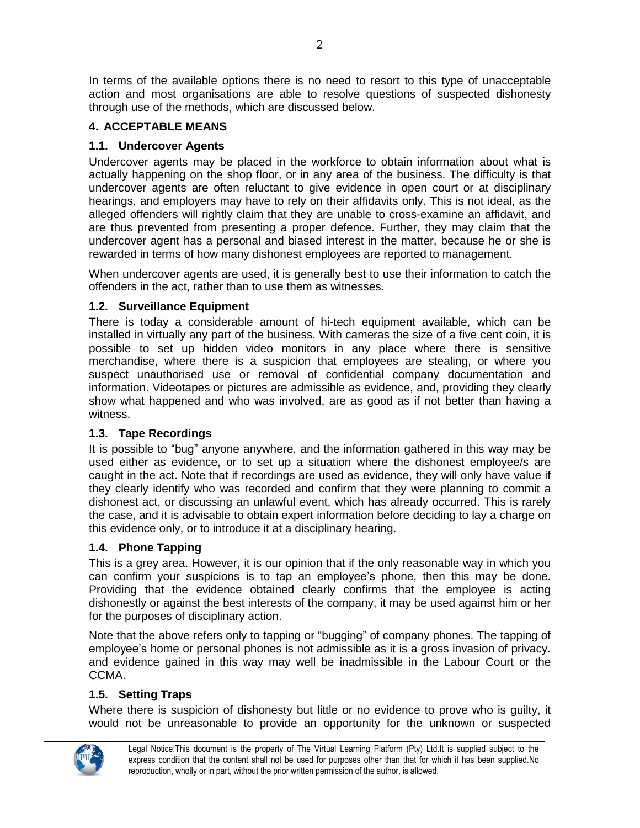In terms of the available options there is no need to resort to this type of unacceptable action and most organisations are able to resolve questions of suspected dishonesty through use of the methods, which are discussed below.

## **4. ACCEPTABLE MEANS**

## **1.1. Undercover Agents**

Undercover agents may be placed in the workforce to obtain information about what is actually happening on the shop floor, or in any area of the business. The difficulty is that undercover agents are often reluctant to give evidence in open court or at disciplinary hearings, and employers may have to rely on their affidavits only. This is not ideal, as the alleged offenders will rightly claim that they are unable to cross-examine an affidavit, and are thus prevented from presenting a proper defence. Further, they may claim that the undercover agent has a personal and biased interest in the matter, because he or she is rewarded in terms of how many dishonest employees are reported to management.

When undercover agents are used, it is generally best to use their information to catch the offenders in the act, rather than to use them as witnesses.

### **1.2. Surveillance Equipment**

There is today a considerable amount of hi-tech equipment available, which can be installed in virtually any part of the business. With cameras the size of a five cent coin, it is possible to set up hidden video monitors in any place where there is sensitive merchandise, where there is a suspicion that employees are stealing, or where you suspect unauthorised use or removal of confidential company documentation and information. Videotapes or pictures are admissible as evidence, and, providing they clearly show what happened and who was involved, are as good as if not better than having a witness.

### **1.3. Tape Recordings**

It is possible to "bug" anyone anywhere, and the information gathered in this way may be used either as evidence, or to set up a situation where the dishonest employee/s are caught in the act. Note that if recordings are used as evidence, they will only have value if they clearly identify who was recorded and confirm that they were planning to commit a dishonest act, or discussing an unlawful event, which has already occurred. This is rarely the case, and it is advisable to obtain expert information before deciding to lay a charge on this evidence only, or to introduce it at a disciplinary hearing.

# **1.4. Phone Tapping**

This is a grey area. However, it is our opinion that if the only reasonable way in which you can confirm your suspicions is to tap an employee's phone, then this may be done. Providing that the evidence obtained clearly confirms that the employee is acting dishonestly or against the best interests of the company, it may be used against him or her for the purposes of disciplinary action.

Note that the above refers only to tapping or "bugging" of company phones. The tapping of employee's home or personal phones is not admissible as it is a gross invasion of privacy. and evidence gained in this way may well be inadmissible in the Labour Court or the CCMA.

# **1.5. Setting Traps**

Where there is suspicion of dishonesty but little or no evidence to prove who is guilty, it would not be unreasonable to provide an opportunity for the unknown or suspected



Legal Notice:This document is the property of The Virtual Learning Platform (Pty) Ltd.It is supplied subject to the express condition that the content shall not be used for purposes other than that for which it has been supplied.No reproduction, wholly or in part, without the prior written permission of the author, is allowed.